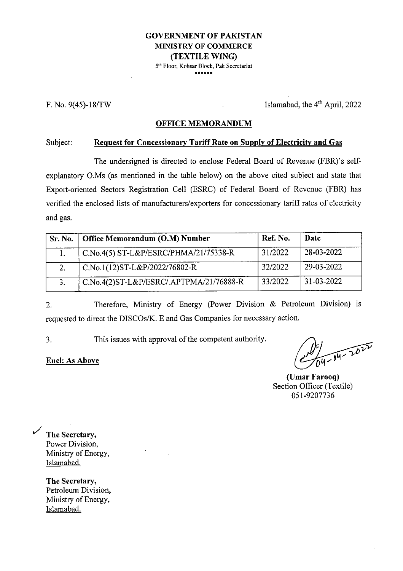#### **GOVERNMENT OF PAKISTAN MINISTRY OF COMMERCE (TEXTILE WING)** 5th Floor, Kohsar Block, Pak Secretariat

\*\*\*\*\*\*

F. No.  $9(45)$ -18/TW Islamabad, the  $4<sup>th</sup>$  April, 2022

#### **OFFICE MEMORANDUM**

#### Subject: **Request for Concessionary Tariff Rate on Supply ofElectricity and Gas**

The undersigned is directed to enclose Federal Board of Revenue (FBR)'s selfexplanatory O.Ms (as mentioned in the table below) on the above cited subject and state that Export-oriented Sectors Registration Cell (ESRC) of Federal Board of Revenue (FBR) has verified the enclosed lists of manufacturers/exporters for concessionary tariffrates of electricity and gas.

| Sr. No. | Office Memorandum (O.M) Number          | Ref. No. | Date           |
|---------|-----------------------------------------|----------|----------------|
|         | C.No.4(5) ST-L&P/ESRC/PHMA/21/75338-R   | 31/2022  | $28-03-2022$   |
|         | C.No.1(12)ST-L&P/2022/76802-R           | 32/2022  | $ 29-03-2022 $ |
|         | C.No.4(2)ST-L&P/ESRC/.APTPMA/21/76888-R | 33/2022  | $31-03-2022$   |

Therefore, Ministry of Energy (Power Division & Petroleum Division) is requested to direct the DISCOs/K. E and Gas Companies for necessary action. 2.

3. This issues with approval of the competent authority.

#### **Enel: As Above**

 $\frac{1}{14-04-20}$ 

**(Umar Farooq)** Section Officer (Textile) 051-9207736

**The Secretary,** Power Division, Ministry of Energy, Islamabad.

**The Secretary,** Petroleum Division, Ministry of Energy, Islamabad.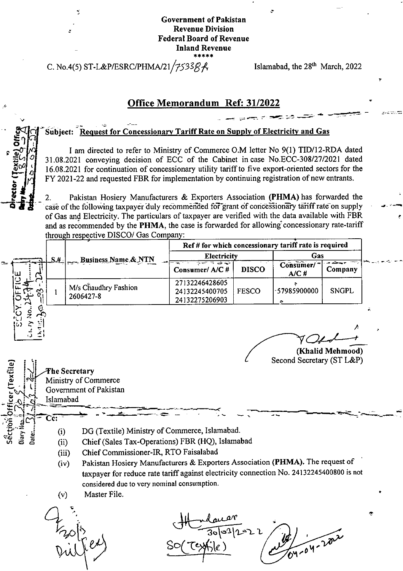#### Government of Pakistan Revenue Division **Federal Board of Revenue** Inland Revenue **\*\*\*\*\***

C. No.4(5) ST-L&P/ESRC/PHMA/21/7533 $\beta\beta\beta\beta\beta\beta\gamma\$  Islamabad, the 28<sup>th</sup> March, 2022

■5

**v-**

**u O** *•* **<sup>l</sup>**  $\frac{1}{2}$ 

**o**4\*

 $\begin{matrix} \zeta & \zeta \\ \zeta & \zeta \\ \zeta & \zeta \end{matrix}$ 

### Office Memorandum Ref: 31/2022

#### Subject: Request for Concessionary Tariff Rate on Supply of Electricity and Gas

I am directed to refer to Ministry of Commerce O.M letter No 9(1) TID/12-RDA dated I 31.08.2021 conveying decision of ECC of the Cabinet incase No.ECC-308/27/2021 dated I 16.08.2021 for continuation of concessionary utility tariffto five export-oriented sectors for the FY 2021 -22 and requested FBR for implementation by continuing registration of new entrants.

Pakistan Hosiery Manufacturers & Exporters Association **(PHMA)** has forwarded the case of the following taxpayer duly recommended for grant of concessionary tariff rate on supply of Gas and Electricity. The particulars of taxpayer are verified with the data available with FBR and as recommended by the **PHMA,** the case is forwarded for allowing' concessionary rate-tariff through respective DISCO/ Gas Company: 2.

|                                  | Business Name & NTN               | Ref # for which concessionary tariff rate is required<br>Electricity |              | Gas               |              |
|----------------------------------|-----------------------------------|----------------------------------------------------------------------|--------------|-------------------|--------------|
| $\left\lfloor 5.4 \right\rfloor$ |                                   | ಸಾಕಾರದ ಸಾ<br>Consumer/A/C#                                           | <b>DISCO</b> | Consumer/<br>A/C# | Company      |
| ৡ                                | M/s Chaudhry Fashion<br>2606427-8 | 27132246428605<br>24132245400705<br>24132275206903                   | <b>FESCO</b> | -57985900000      | <b>SNGPL</b> |

**/ o** *o <i>d d d d d d d d d d d d* (Khalid Mehmood)

Second Secretary (ST L&P)

*f*

\*■

**c~**

- *is* (i) DG (Textile) Ministry of Commerce, Islamabad.<br> **di** (ii) Chief (Sales Tax-Operations) FBR (HQ), Islamal Chief (Sales Tax-Operations) FBR (HQ), Islamabad (i)
	- (iii) ChiefCommissioner-IR, RTO Faisalabad
	- Pakistan Hosiery Manufacturers & Exporters Association **(PHMA).** The request of taxpayer for reduce rate tariff against electricity connection No. 24132245400800 is not considered due to very nominal consumption. (iv)
	- Master File. (v)

Frotis

The Secretary

Islamabad

**Ministry of Commerce** Government of Pakistan

 $0312022$ **A-04-2022 /**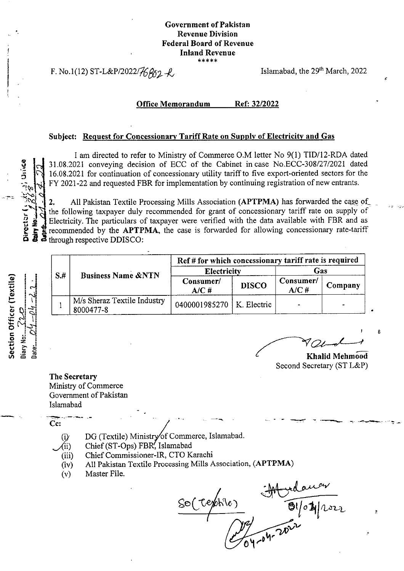#### **Government of Pakistan Revenue Division Federal Board of Revenue Inland Revenue \*\*\*\*\***

F. No.1(12) ST-L&P/2022/ $\frac{2}{6}$   $\frac{1}{2}$   $\frac{1}{2}$  Islamabad, the 29<sup>th</sup> March, 2022

5-

*i*

**a**

#### **Office Memorandum Ref: 32/2022**

#### **Subject:** Request for Concessionary Tariff Rate on Supply of Electricity and Gas

I am directed to refer to Ministry of Commerce O.M letter No 9(1) TID/12-RDA dated 31.08.2021 conveying decision of ECC of the Cabinet incase No.ECC-308/27/2021 dated 16.08.2021 for continuation of concessionary utility tariff to five export-oriented sectors for the FY 2021-22 and requested FBR for implementation by continuing registration of new entrants.

All Pakistan Textile Processing Mills Association **(APTPMA)** has forwarded the case of the following taxpayer duly recommended for grant of concessionary tariff rate on supply of Electricity. The particulars of taxpayer were verified with the data available with FBR and as recommended by the **APTPMA,** the case is forwarded for allowing concessionary rate-tariff through respective DDISCO: 2. **y**<br>**y** Nome<br>ndm/2/ Director<br>**Claim** New<br>Claimban

| Section Officer (Textile) | liary No:2.2.2. | $\text{ate}$ . $\mathbb{C}^d$ . $\mathbb{C}^d$ |
|---------------------------|-----------------|------------------------------------------------|

*f*

**;**

<9 **£** C\*

*O*

\_\_**^**

| $S+$ | <b>Business Name &amp;NTN</b>            | Ref # for which concessionary tariff rate is required |              |                      |         |  |
|------|------------------------------------------|-------------------------------------------------------|--------------|----------------------|---------|--|
|      |                                          | Electricity                                           |              | Gas                  |         |  |
|      |                                          | Consumer/<br>A/CH                                     | <b>DISCO</b> | Consumer/<br>$A/C$ # | Company |  |
|      | M/s Sheraz Textile Industry<br>8000477-8 | 0400001985270   K. Electric                           |              |                      |         |  |

**E** a book holds in the contract of the contract of the contract of the **Khalid** Mehmood Second Secretary (ST L&P)

**The Secretary** Ministry of Commerce Government of Pakistan Islamabad

**Cc**

- DG (Textile) Ministry of Commerce, Islamabad.  $(i)$
- Chief (ST-Ops) FBR, Islamabad  $\langle$ ii)
- (iii) ChiefCommissioner-IR, CTO Karachi
- (iv) All Pakistan Textile Processing Mills Association, (APTPMA)
- (v) Master File.